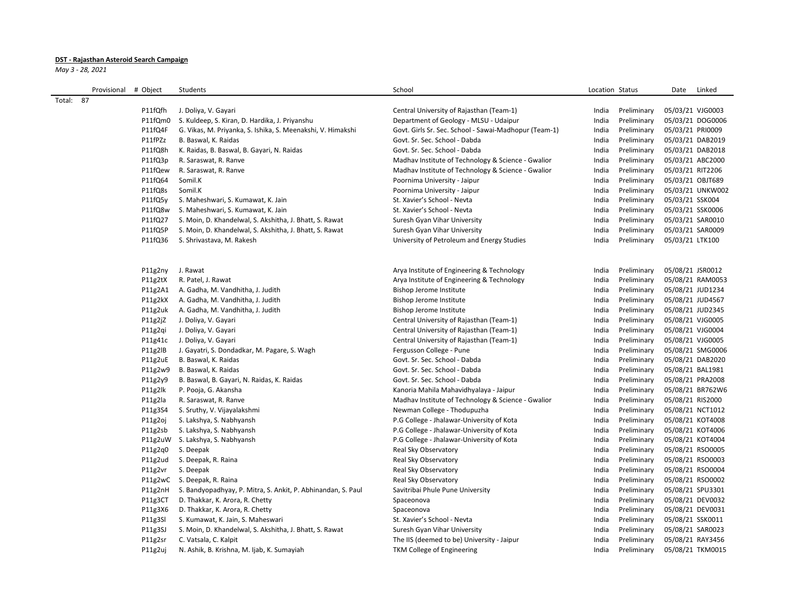## **DST - Rajasthan Asteroid Search Campaign**

*May 3 - 28, 2021*

|           | Provisional | # Object | Students                                                     | School                                                | Location Status      | Linked<br>Date   |
|-----------|-------------|----------|--------------------------------------------------------------|-------------------------------------------------------|----------------------|------------------|
| Total: 87 |             |          |                                                              |                                                       |                      |                  |
|           |             | P11fQfh  | J. Doliya, V. Gayari                                         | Central University of Rajasthan (Team-1)              | India<br>Preliminary | 05/03/21 VJG0003 |
|           |             | P11fQm0  | S. Kuldeep, S. Kiran, D. Hardika, J. Priyanshu               | Department of Geology - MLSU - Udaipur                | Preliminary<br>India | 05/03/21 DOG0006 |
|           |             | P11fQ4F  | G. Vikas, M. Priyanka, S. Ishika, S. Meenakshi, V. Himakshi  | Govt. Girls Sr. Sec. School - Sawai-Madhopur (Team-1) | India<br>Preliminary | 05/03/21 PRI0009 |
|           |             | P11fPZz  | B. Baswal, K. Raidas                                         | Govt. Sr. Sec. School - Dabda                         | Preliminary<br>India | 05/03/21 DAB2019 |
|           |             | P11fQ8h  | K. Raidas, B. Baswal, B. Gayari, N. Raidas                   | Govt. Sr. Sec. School - Dabda                         | Preliminary<br>India | 05/03/21 DAB2018 |
|           |             | P11fQ3p  | R. Saraswat, R. Ranve                                        | Madhav Institute of Technology & Science - Gwalior    | India<br>Preliminary | 05/03/21 ABC2000 |
|           |             | P11fQew  | R. Saraswat, R. Ranve                                        | Madhav Institute of Technology & Science - Gwalior    | India<br>Preliminary | 05/03/21 RIT2206 |
|           |             | P11fQ64  | Somil.K                                                      | Poornima University - Jaipur                          | India<br>Preliminary | 05/03/21 OBJT689 |
|           |             | P11fQ8s  | Somil.K                                                      | Poornima University - Jaipur                          | Preliminary<br>India | 05/03/21 UNKW002 |
|           |             | P11fQ5y  | S. Maheshwari, S. Kumawat, K. Jain                           | St. Xavier's School - Nevta                           | Preliminary<br>India | 05/03/21 SSK004  |
|           |             | P11fQ8w  | S. Maheshwari, S. Kumawat, K. Jain                           | St. Xavier's School - Nevta                           | India<br>Preliminary | 05/03/21 SSK0006 |
|           |             | P11fQ27  | S. Moin, D. Khandelwal, S. Akshitha, J. Bhatt, S. Rawat      | Suresh Gyan Vihar University                          | Preliminary<br>India | 05/03/21 SAR0010 |
|           |             | P11fQ5P  | S. Moin, D. Khandelwal, S. Akshitha, J. Bhatt, S. Rawat      | Suresh Gyan Vihar University                          | Preliminary<br>India | 05/03/21 SAR0009 |
|           |             | P11fQ36  | S. Shrivastava, M. Rakesh                                    | University of Petroleum and Energy Studies            | Preliminary<br>India | 05/03/21 LTK100  |
|           |             |          |                                                              |                                                       |                      |                  |
|           |             |          |                                                              |                                                       |                      |                  |
|           |             | P11g2ny  | J. Rawat                                                     | Arya Institute of Engineering & Technology            | India<br>Preliminary | 05/08/21 JSR0012 |
|           |             | P11g2tX  | R. Patel, J. Rawat                                           | Arya Institute of Engineering & Technology            | India<br>Preliminary | 05/08/21 RAM0053 |
|           |             | P11g2A1  | A. Gadha, M. Vandhitha, J. Judith                            | Bishop Jerome Institute                               | Preliminary<br>India | 05/08/21 JUD1234 |
|           |             | P11g2kX  | A. Gadha, M. Vandhitha, J. Judith                            | Bishop Jerome Institute                               | Preliminary<br>India | 05/08/21 JUD4567 |
|           |             | P11g2uk  | A. Gadha, M. Vandhitha, J. Judith                            | Bishop Jerome Institute                               | Preliminary<br>India | 05/08/21 JUD2345 |
|           |             | P11g2jZ  | J. Doliya, V. Gayari                                         | Central University of Rajasthan (Team-1)              | Preliminary<br>India | 05/08/21 VJG0005 |
|           |             | P11g2qi  | J. Doliya, V. Gayari                                         | Central University of Rajasthan (Team-1)              | India<br>Preliminary | 05/08/21 VJG0004 |
|           |             | P11g41c  | J. Doliya, V. Gayari                                         | Central University of Rajasthan (Team-1)              | India<br>Preliminary | 05/08/21 VJG0005 |
|           |             | P11g2lB  | J. Gayatri, S. Dondadkar, M. Pagare, S. Wagh                 | Fergusson College - Pune                              | Preliminary<br>India | 05/08/21 SMG0006 |
|           |             | P11g2uE  | B. Baswal, K. Raidas                                         | Govt. Sr. Sec. School - Dabda                         | Preliminary<br>India | 05/08/21 DAB2020 |
|           |             | P11g2w9  | B. Baswal, K. Raidas                                         | Govt. Sr. Sec. School - Dabda                         | Preliminary<br>India | 05/08/21 BAL1981 |
|           |             | P11g2y9  | B. Baswal, B. Gayari, N. Raidas, K. Raidas                   | Govt. Sr. Sec. School - Dabda                         | India<br>Preliminary | 05/08/21 PRA2008 |
|           |             | P11g2lk  | P. Pooja, G. Akansha                                         | Kanoria Mahila Mahavidhyalaya - Jaipur                | India<br>Preliminary | 05/08/21 BR762W6 |
|           |             | P11g2la  | R. Saraswat, R. Ranve                                        | Madhav Institute of Technology & Science - Gwalior    | Preliminary<br>India | 05/08/21 RIS2000 |
|           |             | P11g3S4  | S. Sruthy, V. Vijayalakshmi                                  | Newman College - Thodupuzha                           | Preliminary<br>India | 05/08/21 NCT1012 |
|           |             | P11g2oj  | S. Lakshya, S. Nabhyansh                                     | P.G College - Jhalawar-University of Kota             | Preliminary<br>India | 05/08/21 KOT4008 |
|           |             | P11g2sb  | S. Lakshya, S. Nabhyansh                                     | P.G College - Jhalawar-University of Kota             | India<br>Preliminary | 05/08/21 KOT4006 |
|           |             |          | P11g2uW S. Lakshya, S. Nabhyansh                             | P.G College - Jhalawar-University of Kota             | India<br>Preliminary | 05/08/21 KOT4004 |
|           |             | P11g2q0  | S. Deepak                                                    | Real Sky Observatory                                  | Preliminary<br>India | 05/08/21 RSO0005 |
|           |             | P11g2ud  | S. Deepak, R. Raina                                          | Real Sky Observatory                                  | Preliminary<br>India | 05/08/21 RSO0003 |
|           |             | P11g2vr  | S. Deepak                                                    | Real Sky Observatory                                  | Preliminary<br>India | 05/08/21 RSO0004 |
|           |             |          | P11g2wC S. Deepak, R. Raina                                  | Real Sky Observatory                                  | India<br>Preliminary | 05/08/21 RSO0002 |
|           |             | P11g2nH  | S. Bandyopadhyay, P. Mitra, S. Ankit, P. Abhinandan, S. Paul | Savitribai Phule Pune University                      | India<br>Preliminary | 05/08/21 SPU3301 |
|           |             | P11g3CT  | D. Thakkar, K. Arora, R. Chetty                              | Spaceonova                                            | India<br>Preliminary | 05/08/21 DEV0032 |
|           |             | P11g3X6  | D. Thakkar, K. Arora, R. Chetty                              | Spaceonova                                            | India<br>Preliminary | 05/08/21 DEV0031 |
|           |             | P11g3SI  | S. Kumawat, K. Jain, S. Maheswari                            | St. Xavier's School - Nevta                           | Preliminary<br>India | 05/08/21 SSK0011 |
|           |             | P11g3SJ  | S. Moin, D. Khandelwal, S. Akshitha, J. Bhatt, S. Rawat      | Suresh Gyan Vihar University                          | India<br>Preliminary | 05/08/21 SAR0023 |
|           |             | P11g2sr  | C. Vatsala, C. Kalpit                                        | The IIS (deemed to be) University - Jaipur            | Preliminary<br>India | 05/08/21 RAY3456 |
|           |             | P11g2uj  | N. Ashik, B. Krishna, M. Ijab, K. Sumayiah                   | TKM College of Engineering                            | India<br>Preliminary | 05/08/21 TKM0015 |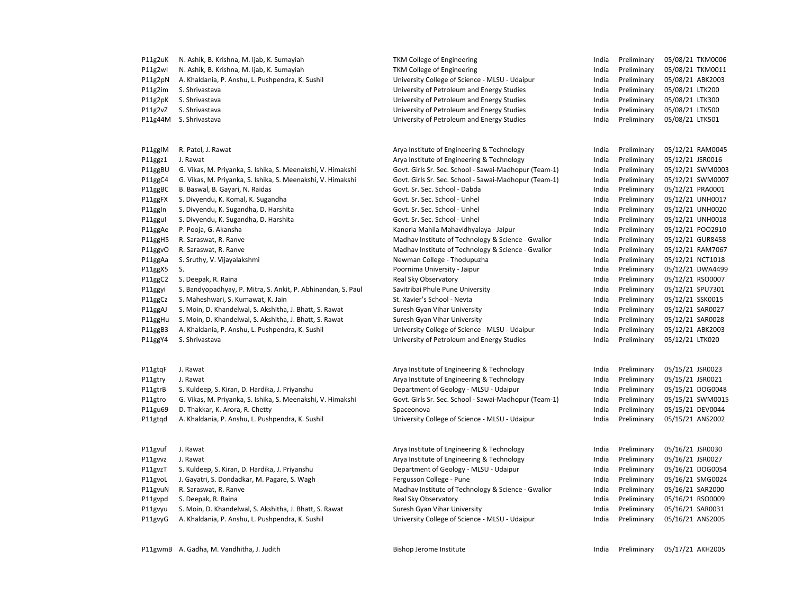| P11g2uK | N. Ashik, B. Krishna, M. Ijab, K. Sumayiah                   | TKM College of Engineering                            | India | Preliminary | 05/08/21 TKM0006 |
|---------|--------------------------------------------------------------|-------------------------------------------------------|-------|-------------|------------------|
| P11g2wl | N. Ashik, B. Krishna, M. Ijab, K. Sumayiah                   | TKM College of Engineering                            | India | Preliminary | 05/08/21 TKM0011 |
| P11g2pN | A. Khaldania, P. Anshu, L. Pushpendra, K. Sushil             | University College of Science - MLSU - Udaipur        | India | Preliminary | 05/08/21 ABK2003 |
| P11g2im | S. Shrivastava                                               | University of Petroleum and Energy Studies            | India | Preliminary | 05/08/21 LTK200  |
| P11g2pK | S. Shrivastava                                               | University of Petroleum and Energy Studies            | India | Preliminary | 05/08/21 LTK300  |
| P11g2vZ | S. Shrivastava                                               | University of Petroleum and Energy Studies            | India | Preliminary | 05/08/21 LTK500  |
| P11g44M | S. Shrivastava                                               | University of Petroleum and Energy Studies            | India | Preliminary | 05/08/21 LTK501  |
|         |                                                              |                                                       |       |             |                  |
|         |                                                              |                                                       |       |             |                  |
| P11ggIM | R. Patel, J. Rawat                                           | Arya Institute of Engineering & Technology            | India | Preliminary | 05/12/21 RAM0045 |
| P11ggz1 | J. Rawat                                                     | Arya Institute of Engineering & Technology            | India | Preliminary | 05/12/21 JSR0016 |
| P11ggBU | G. Vikas, M. Priyanka, S. Ishika, S. Meenakshi, V. Himakshi  | Govt. Girls Sr. Sec. School - Sawai-Madhopur (Team-1) | India | Preliminary | 05/12/21 SWM0003 |
| P11ggC4 | G. Vikas, M. Priyanka, S. Ishika, S. Meenakshi, V. Himakshi  | Govt. Girls Sr. Sec. School - Sawai-Madhopur (Team-1) | India | Preliminary | 05/12/21 SWM0007 |
| P11ggBC | B. Baswal, B. Gayari, N. Raidas                              | Govt. Sr. Sec. School - Dabda                         | India | Preliminary | 05/12/21 PRA0001 |
| P11ggFX | S. Divyendu, K. Komal, K. Sugandha                           | Govt. Sr. Sec. School - Unhel                         | India | Preliminary | 05/12/21 UNH0017 |
| P11ggIn | S. Divyendu, K. Sugandha, D. Harshita                        | Govt. Sr. Sec. School - Unhel                         | India | Preliminary | 05/12/21 UNH0020 |
| P11ggul | S. Divyendu, K. Sugandha, D. Harshita                        | Govt. Sr. Sec. School - Unhel                         | India | Preliminary | 05/12/21 UNH0018 |
| P11ggAe | P. Pooja, G. Akansha                                         | Kanoria Mahila Mahavidhyalaya - Jaipur                | India | Preliminary | 05/12/21 POO2910 |
| P11ggH5 | R. Saraswat, R. Ranve                                        | Madhav Institute of Technology & Science - Gwalior    | India | Preliminary | 05/12/21 GUR8458 |
| P11ggvO | R. Saraswat, R. Ranve                                        | Madhav Institute of Technology & Science - Gwalior    | India | Preliminary | 05/12/21 RAM7067 |
| P11ggAa | S. Sruthy, V. Vijayalakshmi                                  | Newman College - Thodupuzha                           | India | Preliminary | 05/12/21 NCT1018 |
| P11ggX5 | S.                                                           | Poornima University - Jaipur                          | India | Preliminary | 05/12/21 DWA4499 |
| P11ggC2 | S. Deepak, R. Raina                                          | Real Sky Observatory                                  | India | Preliminary | 05/12/21 RSO0007 |
| P11ggyi | S. Bandyopadhyay, P. Mitra, S. Ankit, P. Abhinandan, S. Paul | Savitribai Phule Pune University                      | India | Preliminary | 05/12/21 SPU7301 |
| P11ggCz | S. Maheshwari, S. Kumawat, K. Jain                           | St. Xavier's School - Nevta                           | India | Preliminary | 05/12/21 SSK0015 |
| P11ggAJ | S. Moin, D. Khandelwal, S. Akshitha, J. Bhatt, S. Rawat      | Suresh Gyan Vihar University                          | India | Preliminary | 05/12/21 SAR0027 |
| P11ggHu | S. Moin, D. Khandelwal, S. Akshitha, J. Bhatt, S. Rawat      | Suresh Gyan Vihar University                          | India | Preliminary | 05/12/21 SAR0028 |
| P11ggB3 | A. Khaldania, P. Anshu, L. Pushpendra, K. Sushil             | University College of Science - MLSU - Udaipur        | India | Preliminary | 05/12/21 ABK2003 |
| P11ggY4 | S. Shrivastava                                               | University of Petroleum and Energy Studies            | India | Preliminary | 05/12/21 LTK020  |
|         |                                                              |                                                       |       |             |                  |
|         |                                                              |                                                       |       |             |                  |
| P11gtqF | J. Rawat                                                     | Arya Institute of Engineering & Technology            | India | Preliminary | 05/15/21 JSR0023 |
| P11gtry | J. Rawat                                                     | Arya Institute of Engineering & Technology            | India | Preliminary | 05/15/21 JSR0021 |
| P11gtrB | S. Kuldeep, S. Kiran, D. Hardika, J. Priyanshu               | Department of Geology - MLSU - Udaipur                | India | Preliminary | 05/15/21 DOG0048 |
| P11gtro | G. Vikas, M. Priyanka, S. Ishika, S. Meenakshi, V. Himakshi  | Govt. Girls Sr. Sec. School - Sawai-Madhopur (Team-1) | India | Preliminary | 05/15/21 SWM0015 |
| P11gu69 | D. Thakkar, K. Arora, R. Chetty                              | Spaceonova                                            | India | Preliminary | 05/15/21 DEV0044 |
| P11gtqd | A. Khaldania, P. Anshu, L. Pushpendra, K. Sushil             | University College of Science - MLSU - Udaipur        | India | Preliminary | 05/15/21 ANS2002 |
|         |                                                              |                                                       |       |             |                  |
| P11gvuf | J. Rawat                                                     | Arya Institute of Engineering & Technology            | India | Preliminary | 05/16/21 JSR0030 |
| P11gvvz | J. Rawat                                                     | Arya Institute of Engineering & Technology            | India | Preliminary | 05/16/21 JSR0027 |
| P11gvzT | S. Kuldeep, S. Kiran, D. Hardika, J. Priyanshu               | Department of Geology - MLSU - Udaipur                | India | Preliminary | 05/16/21 DOG0054 |
| P11gvoL | J. Gayatri, S. Dondadkar, M. Pagare, S. Wagh                 | Fergusson College - Pune                              | India | Preliminary | 05/16/21 SMG0024 |
| P11gvuN | R. Saraswat, R. Ranve                                        | Madhav Institute of Technology & Science - Gwalior    | India | Preliminary | 05/16/21 SAR2000 |
| P11gvpd | S. Deepak, R. Raina                                          | Real Sky Observatory                                  | India | Preliminary | 05/16/21 RSO0009 |
| P11gvyu | S. Moin, D. Khandelwal, S. Akshitha, J. Bhatt, S. Rawat      | Suresh Gyan Vihar University                          | India | Preliminary | 05/16/21 SAR0031 |
| P11gvyG | A. Khaldania, P. Anshu, L. Pushpendra, K. Sushil             | University College of Science - MLSU - Udaipur        | India | Preliminary | 05/16/21 ANS2005 |
|         |                                                              |                                                       |       |             |                  |
|         |                                                              |                                                       |       |             |                  |